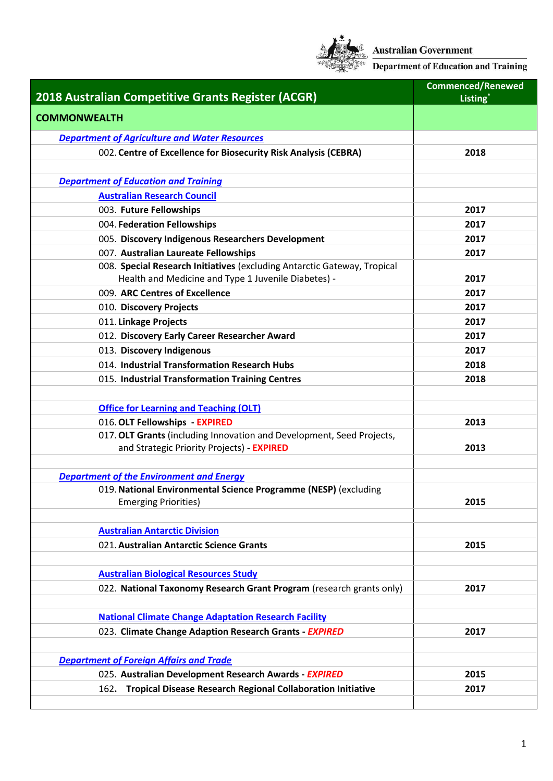

**Australian Government<br>Department of Education and Training** 

|                                                                                                | <b>Commenced/Renewed</b> |
|------------------------------------------------------------------------------------------------|--------------------------|
| 2018 Australian Competitive Grants Register (ACGR)                                             | Listing*                 |
| <b>COMMONWEALTH</b>                                                                            |                          |
| <b>Department of Agriculture and Water Resources</b>                                           |                          |
| 002. Centre of Excellence for Biosecurity Risk Analysis (CEBRA)                                | 2018                     |
|                                                                                                |                          |
| <b>Department of Education and Training</b>                                                    |                          |
| <b>Australian Research Council</b>                                                             |                          |
| 003. Future Fellowships                                                                        | 2017                     |
| 004. Federation Fellowships                                                                    | 2017                     |
| 005. Discovery Indigenous Researchers Development                                              | 2017                     |
| 007. Australian Laureate Fellowships                                                           | 2017                     |
| 008. Special Research Initiatives (excluding Antarctic Gateway, Tropical                       |                          |
| Health and Medicine and Type 1 Juvenile Diabetes) -                                            | 2017                     |
| 009. ARC Centres of Excellence                                                                 | 2017                     |
| 010. Discovery Projects                                                                        | 2017                     |
| 011. Linkage Projects                                                                          | 2017                     |
| 012. Discovery Early Career Researcher Award                                                   | 2017                     |
| 013. Discovery Indigenous                                                                      | 2017                     |
| 014. Industrial Transformation Research Hubs                                                   | 2018                     |
| 015. Industrial Transformation Training Centres                                                | 2018                     |
|                                                                                                |                          |
| <b>Office for Learning and Teaching (OLT)</b>                                                  |                          |
| 016. OLT Fellowships - EXPIRED                                                                 | 2013                     |
| 017. OLT Grants (including Innovation and Development, Seed Projects,                          |                          |
| and Strategic Priority Projects) - EXPIRED                                                     | 2013                     |
|                                                                                                |                          |
| <b>Department of the Environment and Energy</b>                                                |                          |
| 019. National Environmental Science Programme (NESP) (excluding<br><b>Emerging Priorities)</b> | 2015                     |
|                                                                                                |                          |
| <b>Australian Antarctic Division</b>                                                           |                          |
| 021. Australian Antarctic Science Grants                                                       | 2015                     |
|                                                                                                |                          |
| <b>Australian Biological Resources Study</b>                                                   |                          |
| 022. National Taxonomy Research Grant Program (research grants only)                           | 2017                     |
|                                                                                                |                          |
| <b>National Climate Change Adaptation Research Facility</b>                                    |                          |
| 023. Climate Change Adaption Research Grants - EXPIRED                                         | 2017                     |
|                                                                                                |                          |
| <b>Department of Foreign Affairs and Trade</b>                                                 |                          |
| 025. Australian Development Research Awards - EXPIRED                                          | 2015                     |
| <b>Tropical Disease Research Regional Collaboration Initiative</b><br>162.                     | 2017                     |
|                                                                                                |                          |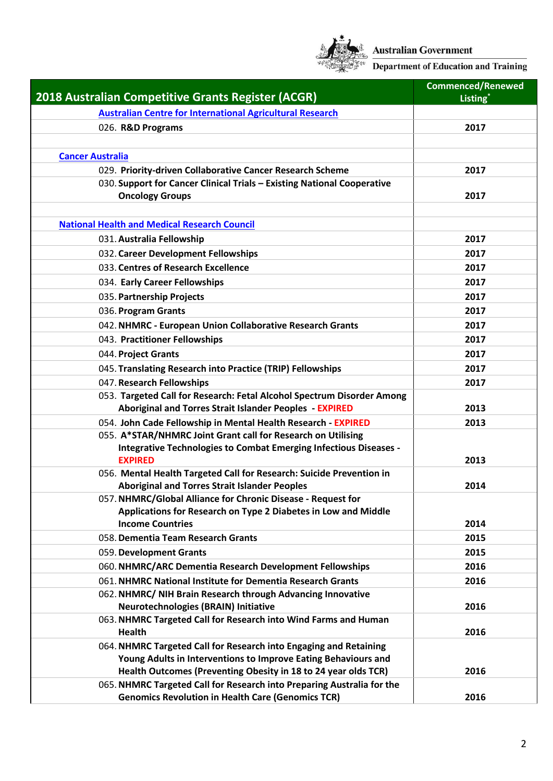

| <b>2018 Australian Competitive Grants Register (ACGR)</b>                                                                            | <b>Commenced/Renewed</b> |
|--------------------------------------------------------------------------------------------------------------------------------------|--------------------------|
|                                                                                                                                      | Listing*                 |
| <b>Australian Centre for International Agricultural Research</b>                                                                     |                          |
| 026. R&D Programs                                                                                                                    | 2017                     |
|                                                                                                                                      |                          |
| <b>Cancer Australia</b>                                                                                                              |                          |
| 029. Priority-driven Collaborative Cancer Research Scheme<br>030. Support for Cancer Clinical Trials - Existing National Cooperative | 2017                     |
| <b>Oncology Groups</b>                                                                                                               | 2017                     |
|                                                                                                                                      |                          |
| <b>National Health and Medical Research Council</b>                                                                                  |                          |
| 031. Australia Fellowship                                                                                                            | 2017                     |
| 032. Career Development Fellowships                                                                                                  | 2017                     |
| 033. Centres of Research Excellence                                                                                                  | 2017                     |
| 034. Early Career Fellowships                                                                                                        | 2017                     |
| 035. Partnership Projects                                                                                                            | 2017                     |
| 036. Program Grants                                                                                                                  | 2017                     |
| 042. NHMRC - European Union Collaborative Research Grants                                                                            | 2017                     |
| 043. Practitioner Fellowships                                                                                                        | 2017                     |
| 044. Project Grants                                                                                                                  | 2017                     |
| 045. Translating Research into Practice (TRIP) Fellowships                                                                           | 2017                     |
| 047. Research Fellowships                                                                                                            | 2017                     |
| 053. Targeted Call for Research: Fetal Alcohol Spectrum Disorder Among                                                               |                          |
| <b>Aboriginal and Torres Strait Islander Peoples - EXPIRED</b>                                                                       | 2013                     |
| 054. John Cade Fellowship in Mental Health Research - EXPIRED                                                                        | 2013                     |
| 055. A*STAR/NHMRC Joint Grant call for Research on Utilising                                                                         |                          |
| Integrative Technologies to Combat Emerging Infectious Diseases -                                                                    |                          |
| <b>EXPIRED</b>                                                                                                                       | 2013                     |
| 056. Mental Health Targeted Call for Research: Suicide Prevention in<br><b>Aboriginal and Torres Strait Islander Peoples</b>         | 2014                     |
| 057. NHMRC/Global Alliance for Chronic Disease - Request for                                                                         |                          |
| Applications for Research on Type 2 Diabetes in Low and Middle                                                                       |                          |
| <b>Income Countries</b>                                                                                                              | 2014                     |
| 058. Dementia Team Research Grants                                                                                                   | 2015                     |
| 059. Development Grants                                                                                                              | 2015                     |
| 060. NHMRC/ARC Dementia Research Development Fellowships                                                                             | 2016                     |
| 061. NHMRC National Institute for Dementia Research Grants                                                                           | 2016                     |
| 062. NHMRC/ NIH Brain Research through Advancing Innovative                                                                          |                          |
| <b>Neurotechnologies (BRAIN) Initiative</b>                                                                                          | 2016                     |
| 063. NHMRC Targeted Call for Research into Wind Farms and Human                                                                      |                          |
| <b>Health</b>                                                                                                                        | 2016                     |
| 064. NHMRC Targeted Call for Research into Engaging and Retaining<br>Young Adults in Interventions to Improve Eating Behaviours and  |                          |
| Health Outcomes (Preventing Obesity in 18 to 24 year olds TCR)                                                                       | 2016                     |
| 065. NHMRC Targeted Call for Research into Preparing Australia for the                                                               |                          |
| <b>Genomics Revolution in Health Care (Genomics TCR)</b>                                                                             | 2016                     |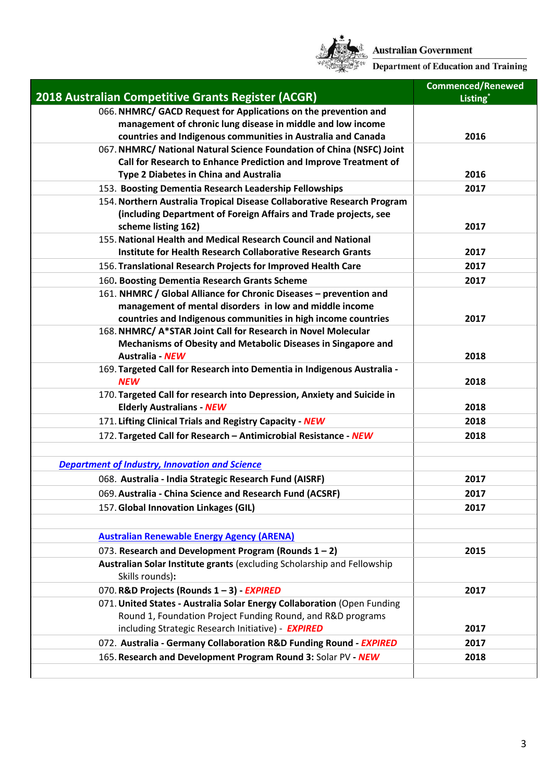

Australian Government<br>Example: Department of Education and Training

|                                                                         | <b>Commenced/Renewed</b> |
|-------------------------------------------------------------------------|--------------------------|
| 2018 Australian Competitive Grants Register (ACGR)                      | Listing*                 |
| 066. NHMRC/ GACD Request for Applications on the prevention and         |                          |
| management of chronic lung disease in middle and low income             |                          |
| countries and Indigenous communities in Australia and Canada            | 2016                     |
| 067. NHMRC/ National Natural Science Foundation of China (NSFC) Joint   |                          |
| Call for Research to Enhance Prediction and Improve Treatment of        |                          |
| <b>Type 2 Diabetes in China and Australia</b>                           | 2016                     |
| 153. Boosting Dementia Research Leadership Fellowships                  | 2017                     |
| 154. Northern Australia Tropical Disease Collaborative Research Program |                          |
| (including Department of Foreign Affairs and Trade projects, see        |                          |
| scheme listing 162)                                                     | 2017                     |
| 155. National Health and Medical Research Council and National          |                          |
| <b>Institute for Health Research Collaborative Research Grants</b>      | 2017                     |
| 156. Translational Research Projects for Improved Health Care           | 2017                     |
| 160. Boosting Dementia Research Grants Scheme                           | 2017                     |
| 161. NHMRC / Global Alliance for Chronic Diseases - prevention and      |                          |
| management of mental disorders in low and middle income                 |                          |
| countries and Indigenous communities in high income countries           | 2017                     |
| 168. NHMRC/ A*STAR Joint Call for Research in Novel Molecular           |                          |
| Mechanisms of Obesity and Metabolic Diseases in Singapore and           |                          |
| Australia - NEW                                                         | 2018                     |
| 169. Targeted Call for Research into Dementia in Indigenous Australia - |                          |
| <b>NEW</b>                                                              | 2018                     |
| 170. Targeted Call for research into Depression, Anxiety and Suicide in |                          |
| <b>Elderly Australians - NEW</b>                                        | 2018                     |
| 171. Lifting Clinical Trials and Registry Capacity - NEW                | 2018                     |
| 172. Targeted Call for Research - Antimicrobial Resistance - NEW        | 2018                     |
|                                                                         |                          |
| <b>Department of Industry, Innovation and Science</b>                   |                          |
| 068. Australia - India Strategic Research Fund (AISRF)                  | 2017                     |
| 069. Australia - China Science and Research Fund (ACSRF)                | 2017                     |
| 157. Global Innovation Linkages (GIL)                                   | 2017                     |
|                                                                         |                          |
| <b>Australian Renewable Energy Agency (ARENA)</b>                       |                          |
| 073. Research and Development Program (Rounds $1 - 2$ )                 | 2015                     |
| Australian Solar Institute grants (excluding Scholarship and Fellowship |                          |
| Skills rounds):                                                         |                          |
| 070. R&D Projects (Rounds 1-3) - EXPIRED                                | 2017                     |
| 071. United States - Australia Solar Energy Collaboration (Open Funding |                          |
| Round 1, Foundation Project Funding Round, and R&D programs             |                          |
| including Strategic Research Initiative) - <b>EXPIRED</b>               | 2017                     |
| 072. Australia - Germany Collaboration R&D Funding Round - EXPIRED      | 2017                     |
| 165. Research and Development Program Round 3: Solar PV - NEW           | 2018                     |
|                                                                         |                          |
|                                                                         |                          |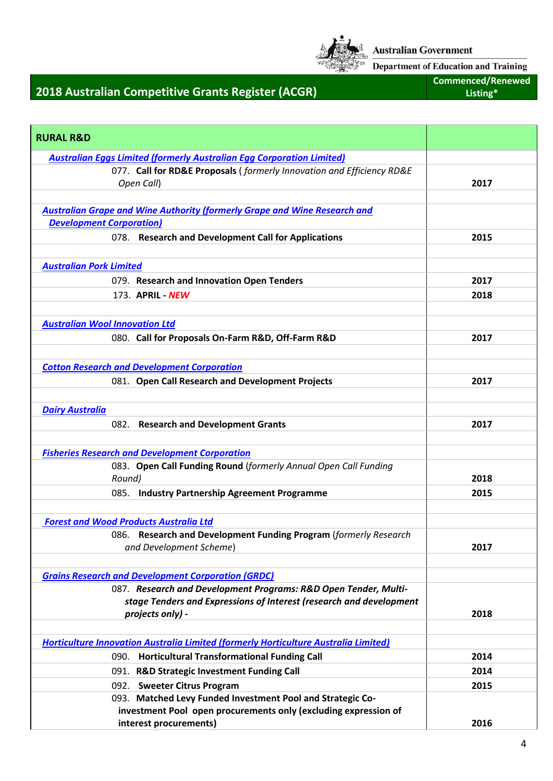

**Department of Education and Training** 

## **2018 Australian Competitive Grants Register (ACGR)**

**Commenced/Renewed Listing\***

| <b>RURAL R&amp;D</b>                                                                        |      |
|---------------------------------------------------------------------------------------------|------|
| <b>Australian Eggs Limited (formerly Australian Egg Corporation Limited)</b>                |      |
| 077. Call for RD&E Proposals (formerly Innovation and Efficiency RD&E                       |      |
| Open Call)                                                                                  | 2017 |
| <b>Australian Grape and Wine Authority (formerly Grape and Wine Research and</b>            |      |
| <b>Development Corporation)</b>                                                             |      |
| 078. Research and Development Call for Applications                                         | 2015 |
|                                                                                             |      |
| <b>Australian Pork Limited</b>                                                              |      |
| 079. Research and Innovation Open Tenders                                                   | 2017 |
| 173. APRIL - NEW                                                                            | 2018 |
|                                                                                             |      |
| <b>Australian Wool Innovation Ltd</b>                                                       |      |
| 080. Call for Proposals On-Farm R&D, Off-Farm R&D                                           | 2017 |
|                                                                                             |      |
| <b>Cotton Research and Development Corporation</b>                                          |      |
| 081. Open Call Research and Development Projects                                            | 2017 |
|                                                                                             |      |
| <b>Dairy Australia</b>                                                                      |      |
| 082. Research and Development Grants                                                        | 2017 |
|                                                                                             |      |
| <b>Fisheries Research and Development Corporation</b>                                       |      |
| 083. Open Call Funding Round (formerly Annual Open Call Funding                             |      |
| Round)                                                                                      | 2018 |
| 085. Industry Partnership Agreement Programme                                               | 2015 |
|                                                                                             |      |
| <b>Forest and Wood Products Australia Ltd</b>                                               |      |
| 086. Research and Development Funding Program (formerly Research<br>and Development Scheme) | 2017 |
|                                                                                             |      |
| <b>Grains Research and Development Corporation (GRDC)</b>                                   |      |
| 087. Research and Development Programs: R&D Open Tender, Multi-                             |      |
| stage Tenders and Expressions of Interest (research and development                         |      |
| projects only) -                                                                            | 2018 |
|                                                                                             |      |
| <b>Horticulture Innovation Australia Limited (formerly Horticulture Australia Limited)</b>  |      |
| 090. Horticultural Transformational Funding Call                                            | 2014 |
| 091. R&D Strategic Investment Funding Call                                                  | 2014 |
| 092. Sweeter Citrus Program                                                                 | 2015 |
| 093. Matched Levy Funded Investment Pool and Strategic Co-                                  |      |
| investment Pool open procurements only (excluding expression of<br>interest procurements)   | 2016 |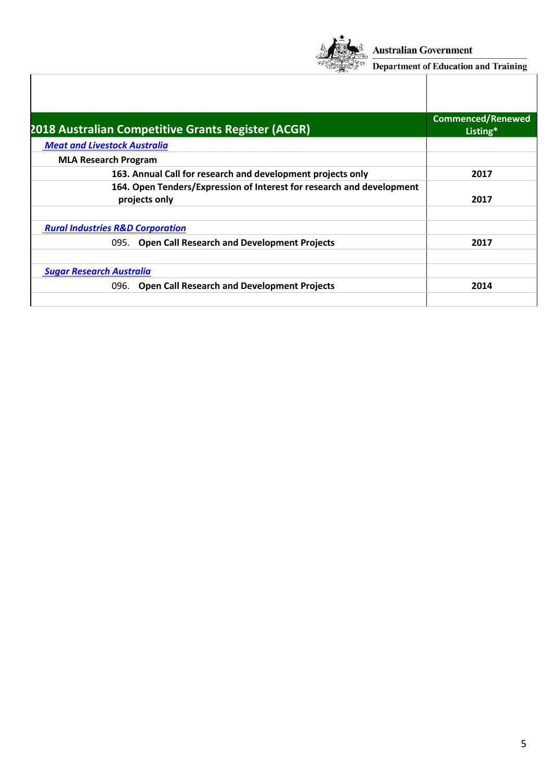

**Australian Government** 

 $\frac{\sqrt{100}}{100}$  Department of Education and Training

| 2018 Australian Competitive Grants Register (ACGR)                                     | <b>Commenced/Renewed</b><br>Listing* |
|----------------------------------------------------------------------------------------|--------------------------------------|
| <b>Meat and Livestock Australia</b>                                                    |                                      |
| <b>MLA Research Program</b>                                                            |                                      |
| 163. Annual Call for research and development projects only                            | 2017                                 |
| 164. Open Tenders/Expression of Interest for research and development<br>projects only | 2017                                 |
| <b>Rural Industries R&amp;D Corporation</b>                                            |                                      |
| 095. Open Call Research and Development Projects                                       | 2017                                 |
| <b>Sugar Research Australia</b>                                                        |                                      |
| <b>Open Call Research and Development Projects</b><br>096.                             | 2014                                 |
|                                                                                        |                                      |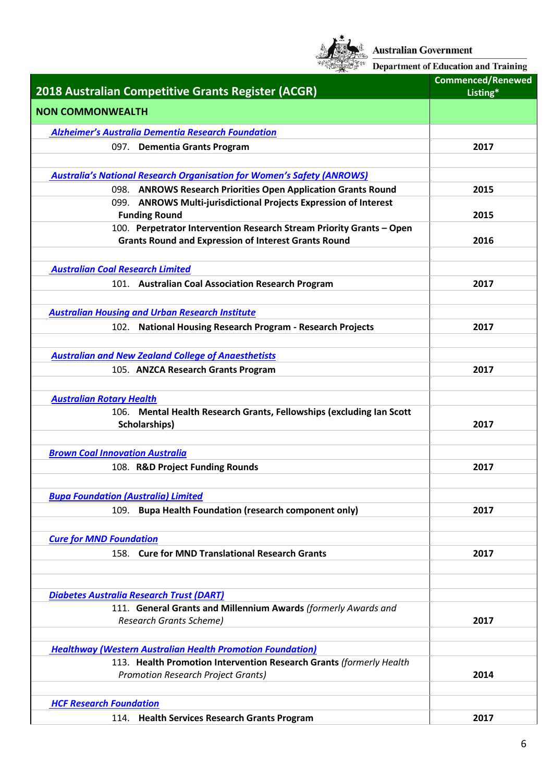

**Australian Government**<br><sup>KK</sup> Department of Education and Training

| 2018 Australian Competitive Grants Register (ACGR)                                                                                       | <b>Commenced/Renewed</b><br>Listing* |
|------------------------------------------------------------------------------------------------------------------------------------------|--------------------------------------|
| <b>NON COMMONWEALTH</b>                                                                                                                  |                                      |
| <b>Alzheimer's Australia Dementia Research Foundation</b>                                                                                |                                      |
| 097. Dementia Grants Program                                                                                                             | 2017                                 |
|                                                                                                                                          |                                      |
| <b>Australia's National Research Organisation for Women's Safety (ANROWS)</b>                                                            |                                      |
| 098. ANROWS Research Priorities Open Application Grants Round                                                                            | 2015                                 |
| 099. ANROWS Multi-jurisdictional Projects Expression of Interest<br><b>Funding Round</b>                                                 | 2015                                 |
| 100. Perpetrator Intervention Research Stream Priority Grants - Open                                                                     |                                      |
| <b>Grants Round and Expression of Interest Grants Round</b>                                                                              | 2016                                 |
|                                                                                                                                          |                                      |
| <b>Australian Coal Research Limited</b>                                                                                                  |                                      |
| 101. Australian Coal Association Research Program                                                                                        | 2017                                 |
| <b>Australian Housing and Urban Research Institute</b>                                                                                   |                                      |
| 102. National Housing Research Program - Research Projects                                                                               | 2017                                 |
|                                                                                                                                          |                                      |
| <b>Australian and New Zealand College of Anaesthetists</b>                                                                               |                                      |
| 105. ANZCA Research Grants Program                                                                                                       | 2017                                 |
|                                                                                                                                          |                                      |
| <b>Australian Rotary Health</b>                                                                                                          |                                      |
| 106. Mental Health Research Grants, Fellowships (excluding Ian Scott<br>Scholarships)                                                    | 2017                                 |
|                                                                                                                                          |                                      |
| <b>Brown Coal Innovation Australia</b>                                                                                                   |                                      |
| 108. R&D Project Funding Rounds                                                                                                          | 2017                                 |
|                                                                                                                                          |                                      |
| <b>Bupa Foundation (Australia) Limited</b>                                                                                               |                                      |
| 109. Bupa Health Foundation (research component only)                                                                                    | 2017                                 |
|                                                                                                                                          |                                      |
| <b>Cure for MND Foundation</b>                                                                                                           |                                      |
| 158. Cure for MND Translational Research Grants                                                                                          | 2017                                 |
|                                                                                                                                          |                                      |
| <b>Diabetes Australia Research Trust (DART)</b>                                                                                          |                                      |
| 111. General Grants and Millennium Awards (formerly Awards and                                                                           |                                      |
| <b>Research Grants Scheme)</b>                                                                                                           | 2017                                 |
|                                                                                                                                          |                                      |
| <b>Healthway (Western Australian Health Promotion Foundation)</b><br>113. Health Promotion Intervention Research Grants (formerly Health |                                      |
| <b>Promotion Research Project Grants)</b>                                                                                                | 2014                                 |
|                                                                                                                                          |                                      |
| <b>HCF Research Foundation</b>                                                                                                           |                                      |
| 114. Health Services Research Grants Program                                                                                             | 2017                                 |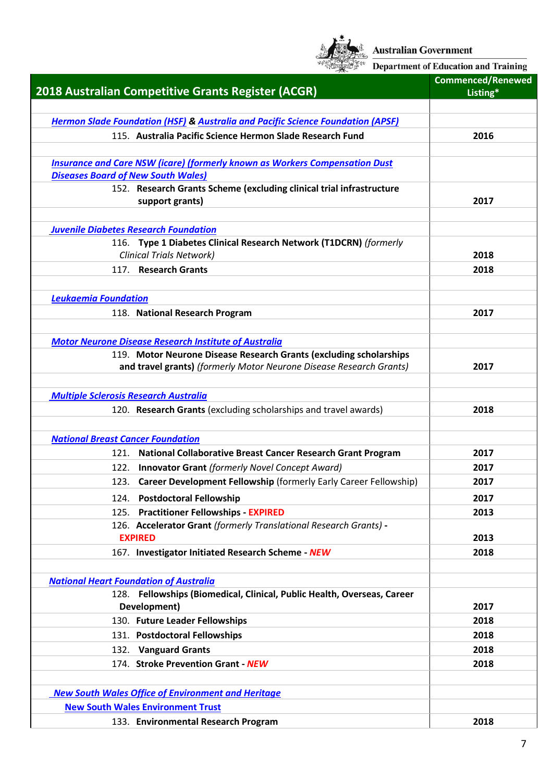

Australian Government<br>  $\frac{\sum_{k \in \mathbb{Z}}^k}{\text{Department of Education and Training}}$ 

| 2018 Australian Competitive Grants Register (ACGR)                                         | <b>Commenced/Renewed</b><br>Listing* |
|--------------------------------------------------------------------------------------------|--------------------------------------|
|                                                                                            |                                      |
| <b>Hermon Slade Foundation (HSF) &amp; Australia and Pacific Science Foundation (APSF)</b> |                                      |
| 115. Australia Pacific Science Hermon Slade Research Fund                                  | 2016                                 |
|                                                                                            |                                      |
| <b>Insurance and Care NSW (icare) (formerly known as Workers Compensation Dust</b>         |                                      |
| <b>Diseases Board of New South Wales)</b>                                                  |                                      |
| 152. Research Grants Scheme (excluding clinical trial infrastructure                       |                                      |
| support grants)                                                                            | 2017                                 |
| <b>Juvenile Diabetes Research Foundation</b>                                               |                                      |
| 116. Type 1 Diabetes Clinical Research Network (T1DCRN) (formerly                          |                                      |
| <b>Clinical Trials Network)</b>                                                            | 2018                                 |
| 117. Research Grants                                                                       | 2018                                 |
|                                                                                            |                                      |
| <b>Leukaemia Foundation</b>                                                                |                                      |
| 118. National Research Program                                                             | 2017                                 |
|                                                                                            |                                      |
| <b>Motor Neurone Disease Research Institute of Australia</b>                               |                                      |
| 119. Motor Neurone Disease Research Grants (excluding scholarships                         |                                      |
| and travel grants) (formerly Motor Neurone Disease Research Grants)                        | 2017                                 |
| <b>Multiple Sclerosis Research Australia</b>                                               |                                      |
| 120. Research Grants (excluding scholarships and travel awards)                            | 2018                                 |
|                                                                                            |                                      |
| <b>National Breast Cancer Foundation</b>                                                   |                                      |
| 121. National Collaborative Breast Cancer Research Grant Program                           | 2017                                 |
| <b>Innovator Grant (formerly Novel Concept Award)</b><br>122.                              | 2017                                 |
| 123. Career Development Fellowship (formerly Early Career Fellowship)                      | 2017                                 |
| 124. Postdoctoral Fellowship                                                               | 2017                                 |
| <b>Practitioner Fellowships - EXPIRED</b><br>125.                                          | 2013                                 |
| 126. Accelerator Grant (formerly Translational Research Grants) -                          |                                      |
| <b>EXPIRED</b>                                                                             | 2013                                 |
| 167. Investigator Initiated Research Scheme - NEW                                          | 2018                                 |
|                                                                                            |                                      |
| <b>National Heart Foundation of Australia</b>                                              |                                      |
| 128. Fellowships (Biomedical, Clinical, Public Health, Overseas, Career                    |                                      |
| Development)                                                                               | 2017                                 |
| 130. Future Leader Fellowships                                                             | 2018                                 |
| 131. Postdoctoral Fellowships                                                              | 2018                                 |
| <b>Vanguard Grants</b><br>132.                                                             | 2018                                 |
| 174. Stroke Prevention Grant - NEW                                                         | 2018                                 |
|                                                                                            |                                      |
| <b>New South Wales Office of Environment and Heritage</b>                                  |                                      |
| <b>New South Wales Environment Trust</b>                                                   |                                      |
| 133. Environmental Research Program                                                        | 2018                                 |